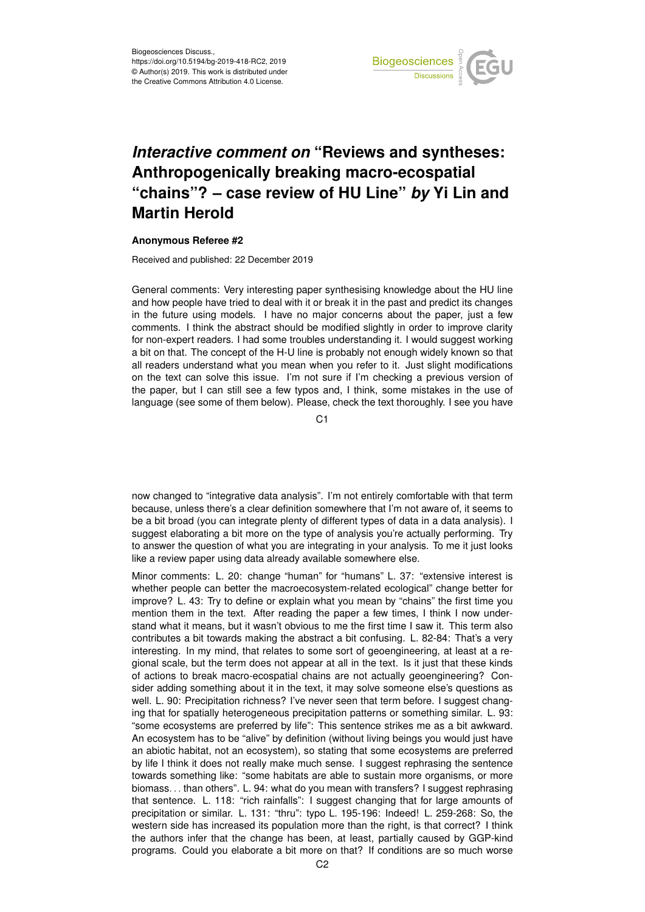

## *Interactive comment on* **"Reviews and syntheses: Anthropogenically breaking macro-ecospatial "chains"? – case review of HU Line"** *by* **Yi Lin and Martin Herold**

## **Anonymous Referee #2**

Received and published: 22 December 2019

General comments: Very interesting paper synthesising knowledge about the HU line and how people have tried to deal with it or break it in the past and predict its changes in the future using models. I have no major concerns about the paper, just a few comments. I think the abstract should be modified slightly in order to improve clarity for non-expert readers. I had some troubles understanding it. I would suggest working a bit on that. The concept of the H-U line is probably not enough widely known so that all readers understand what you mean when you refer to it. Just slight modifications on the text can solve this issue. I'm not sure if I'm checking a previous version of the paper, but I can still see a few typos and, I think, some mistakes in the use of language (see some of them below). Please, check the text thoroughly. I see you have

C<sub>1</sub>

now changed to "integrative data analysis". I'm not entirely comfortable with that term because, unless there's a clear definition somewhere that I'm not aware of, it seems to be a bit broad (you can integrate plenty of different types of data in a data analysis). I suggest elaborating a bit more on the type of analysis you're actually performing. Try to answer the question of what you are integrating in your analysis. To me it just looks like a review paper using data already available somewhere else.

Minor comments: L. 20: change "human" for "humans" L. 37: "extensive interest is whether people can better the macroecosystem-related ecological" change better for improve? L. 43: Try to define or explain what you mean by "chains" the first time you mention them in the text. After reading the paper a few times, I think I now understand what it means, but it wasn't obvious to me the first time I saw it. This term also contributes a bit towards making the abstract a bit confusing. L. 82-84: That's a very interesting. In my mind, that relates to some sort of geoengineering, at least at a regional scale, but the term does not appear at all in the text. Is it just that these kinds of actions to break macro-ecospatial chains are not actually geoengineering? Consider adding something about it in the text, it may solve someone else's questions as well. L. 90: Precipitation richness? I've never seen that term before. I suggest changing that for spatially heterogeneous precipitation patterns or something similar. L. 93: "some ecosystems are preferred by life": This sentence strikes me as a bit awkward. An ecosystem has to be "alive" by definition (without living beings you would just have an abiotic habitat, not an ecosystem), so stating that some ecosystems are preferred by life I think it does not really make much sense. I suggest rephrasing the sentence towards something like: "some habitats are able to sustain more organisms, or more biomass. . . than others". L. 94: what do you mean with transfers? I suggest rephrasing that sentence. L. 118: "rich rainfalls": I suggest changing that for large amounts of precipitation or similar. L. 131: "thru": typo L. 195-196: Indeed! L. 259-268: So, the western side has increased its population more than the right, is that correct? I think the authors infer that the change has been, at least, partially caused by GGP-kind programs. Could you elaborate a bit more on that? If conditions are so much worse